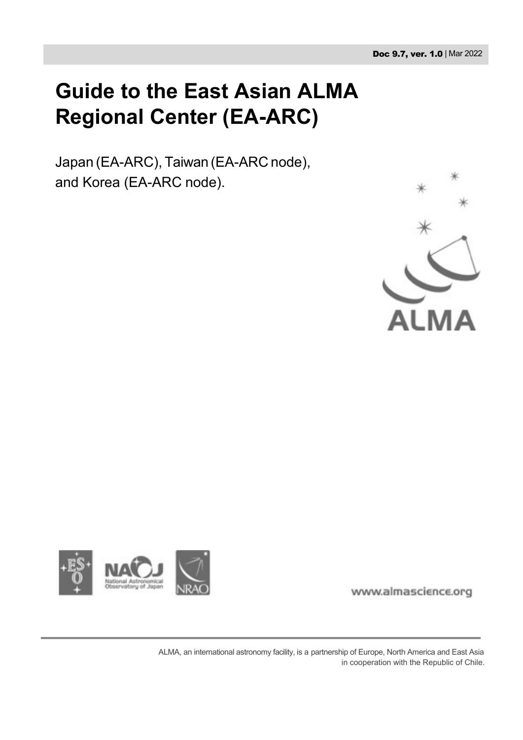# **Guide to the East Asian ALMA Regional Center (EA-ARC)**

Japan (EA-ARC), Taiwan (EA-ARC node), and Korea (EA-ARC node).





www.almascience.org

ALMA, an international astronomy facility, is a partnership of Europe, North America and East Asia in cooperation with the Republic of Chile.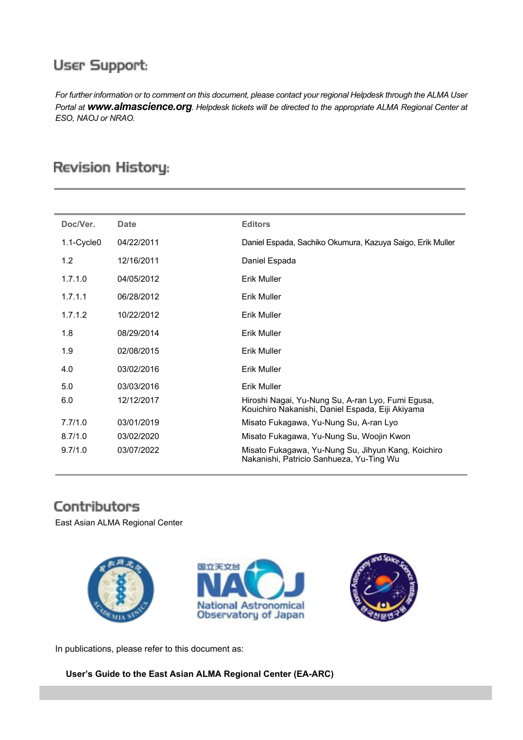# **User Support:**

*For further information or to comment on this document, please contact your regional Helpdesk through the ALMA User Portal at [www.almascience.org](http://www.almascience.org/)[. H](http://www.almascience.org/)elpdesk tickets will be directed to the appropriate ALMA Regional Center at ESO, NAOJ or NRAO.*

# **Revision History:**

| Doc/Ver.   | Date       | <b>Editors</b>                                                                                        |
|------------|------------|-------------------------------------------------------------------------------------------------------|
| 1.1-Cycle0 | 04/22/2011 | Daniel Espada, Sachiko Okumura, Kazuya Saigo, Erik Muller                                             |
| 1.2        | 12/16/2011 | Daniel Espada                                                                                         |
| 1.7.1.0    | 04/05/2012 | Erik Muller                                                                                           |
| 1.7.1.1    | 06/28/2012 | Erik Muller                                                                                           |
| 1.7.1.2    | 10/22/2012 | Erik Muller                                                                                           |
| 1.8        | 08/29/2014 | Erik Muller                                                                                           |
| 1.9        | 02/08/2015 | Erik Muller                                                                                           |
| 4.0        | 03/02/2016 | Erik Muller                                                                                           |
| 5.0        | 03/03/2016 | <b>Erik Muller</b>                                                                                    |
| 6.0        | 12/12/2017 | Hiroshi Nagai, Yu-Nung Su, A-ran Lyo, Fumi Egusa,<br>Kouichiro Nakanishi, Daniel Espada, Eiji Akiyama |
| 7.7/1.0    | 03/01/2019 | Misato Fukagawa, Yu-Nung Su, A-ran Lyo                                                                |
| 8.7/1.0    | 03/02/2020 | Misato Fukagawa, Yu-Nung Su, Woojin Kwon                                                              |
| 9.7/1.0    | 03/07/2022 | Misato Fukagawa, Yu-Nung Su, Jihyun Kang, Koichiro<br>Nakanishi, Patricio Sanhueza, Yu-Ting Wu        |

# Contributors

East Asian ALMA Regional Center



In publications, please refer to this document as:

**User's Guide to the East Asian ALMA Regional Center (EA-ARC)**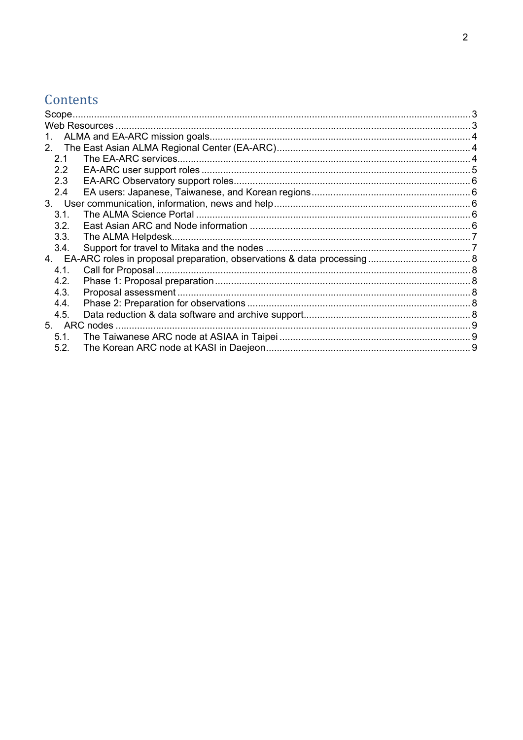# Contents

| 1.<br>2.1<br>$2.2\overline{ }$<br>2.3<br>$2.4^{\circ}$<br>3.1.<br>3.2.<br>3.3.<br>3.4.<br>4.1.<br>4.2.<br>4.3.<br>4.4.<br>4.5.<br>5.1.<br>5.2. | Scope |  |  |
|------------------------------------------------------------------------------------------------------------------------------------------------|-------|--|--|
|                                                                                                                                                |       |  |  |
|                                                                                                                                                |       |  |  |
|                                                                                                                                                |       |  |  |
|                                                                                                                                                |       |  |  |
|                                                                                                                                                |       |  |  |
|                                                                                                                                                |       |  |  |
|                                                                                                                                                |       |  |  |
|                                                                                                                                                |       |  |  |
|                                                                                                                                                |       |  |  |
|                                                                                                                                                |       |  |  |
|                                                                                                                                                |       |  |  |
|                                                                                                                                                |       |  |  |
|                                                                                                                                                |       |  |  |
|                                                                                                                                                |       |  |  |
|                                                                                                                                                |       |  |  |
|                                                                                                                                                |       |  |  |
|                                                                                                                                                |       |  |  |
|                                                                                                                                                |       |  |  |
|                                                                                                                                                |       |  |  |
|                                                                                                                                                |       |  |  |
|                                                                                                                                                |       |  |  |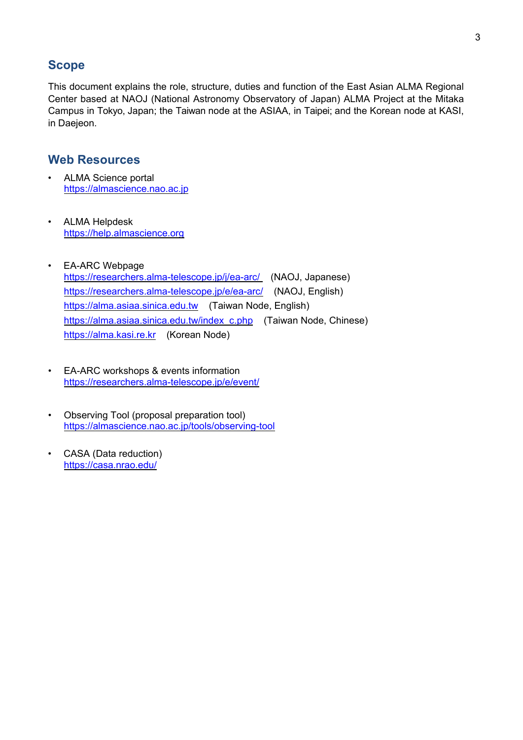# <span id="page-3-0"></span>**Scope**

This document explains the role, structure, duties and function of the East Asian ALMA Regional Center based at NAOJ (National Astronomy Observatory of Japan) ALMA Project at the Mitaka Campus in Tokyo, Japan; the Taiwan node at the ASIAA, in Taipei; and the Korean node at KASI, in Daejeon.

# <span id="page-3-1"></span>**Web Resources**

- ALMA Science portal [https://almascience.nao.ac.jp](https://almascience.nao.ac.jp/)
- ALMA Helpdesk [https://help.almascience.org](https://help.almascience.org/)
- EA-ARC Webpage <https://researchers.alma-telescope.jp/j/ea-arc/>(NAOJ, Japanese) <https://researchers.alma-telescope.jp/e/ea-arc/> (NAOJ, English) [https://alma.asiaa.sinica.edu.tw](https://alma.asiaa.sinica.edu.tw/) (Taiwan Node, English) [https://alma.asiaa.sinica.edu.tw/index\\_c.php](https://alma.asiaa.sinica.edu.tw/index_c.php) (Taiwan Node, Chinese) [https://alma.kasi.re.kr](https://alma.kasi.re.kr/) (Korean Node)
- EA-ARC workshops & events information <https://researchers.alma-telescope.jp/e/event/>
- Observing Tool (proposal preparation tool) <https://almascience.nao.ac.jp/tools/observing-tool>
- CASA (Data reduction) <https://casa.nrao.edu/>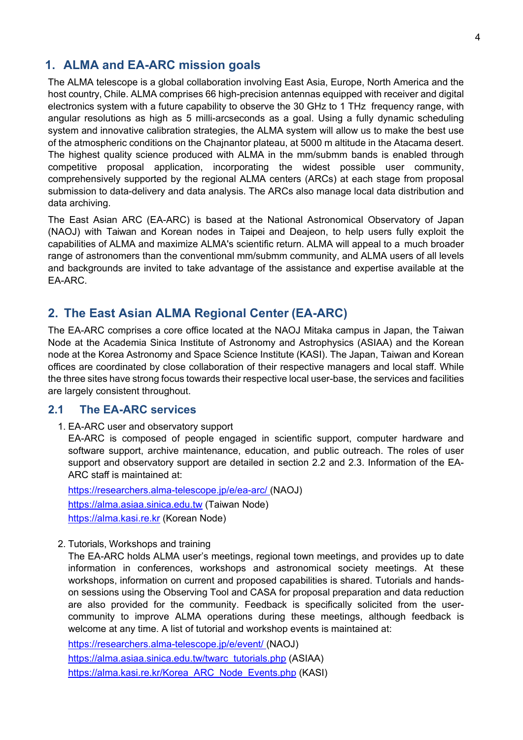# <span id="page-4-0"></span>**1. ALMA and EA-ARC mission goals**

The ALMA telescope is a global collaboration involving East Asia, Europe, North America and the host country, Chile. ALMA comprises 66 high-precision antennas equipped with receiver and digital electronics system with a future capability to observe the 30 GHz to 1 THz frequency range, with angular resolutions as high as 5 milli-arcseconds as a goal. Using a fully dynamic scheduling system and innovative calibration strategies, the ALMA system will allow us to make the best use of the atmospheric conditions on the Chajnantor plateau, at 5000 m altitude in the Atacama desert. The highest quality science produced with ALMA in the mm/submm bands is enabled through competitive proposal application, incorporating the widest possible user community, comprehensively supported by the regional ALMA centers (ARCs) at each stage from proposal submission to data-delivery and data analysis. The ARCs also manage local data distribution and data archiving.

The East Asian ARC (EA-ARC) is based at the National Astronomical Observatory of Japan (NAOJ) with Taiwan and Korean nodes in Taipei and Deajeon, to help users fully exploit the capabilities of ALMA and maximize ALMA's scientific return. ALMA will appeal to a much broader range of astronomers than the conventional mm/submm community, and ALMA users of all levels and backgrounds are invited to take advantage of the assistance and expertise available at the EA-ARC.

# <span id="page-4-1"></span>**2. The East Asian ALMA Regional Center (EA-ARC)**

The EA-ARC comprises a core office located at the NAOJ Mitaka campus in Japan, the Taiwan Node at the Academia Sinica Institute of Astronomy and Astrophysics (ASIAA) and the Korean node at the Korea Astronomy and Space Science Institute (KASI). The Japan, Taiwan and Korean offices are coordinated by close collaboration of their respective managers and local staff. While the three sites have strong focus towards their respective local user-base, the services and facilities are largely consistent throughout.

#### <span id="page-4-2"></span>**2.1 The EA-ARC services**

1. EA-ARC user and observatory support

EA-ARC is composed of people engaged in scientific support, computer hardware and software support, archive maintenance, education, and public outreach. The roles of user support and observatory support are detailed in section 2.2 and 2.3. Information of the EA-ARC staff is maintained at:

<https://researchers.alma-telescope.jp/e/ea-arc/> (NAOJ) [https://alma.asiaa.sinica.edu.tw](https://alma.asiaa.sinica.edu.tw/) (Taiwan Node) [https://alma.kasi.re.kr](https://alma.kasi.re.kr/) (Korean Node)

2. Tutorials, Workshops and training

The EA-ARC holds ALMA user's meetings, regional town meetings, and provides up to date information in conferences, workshops and astronomical society meetings. At these workshops, information on current and proposed capabilities is shared. Tutorials and handson sessions using the Observing Tool and CASA for proposal preparation and data reduction are also provided for the community. Feedback is specifically solicited from the usercommunity to improve ALMA operations during these meetings, although feedback is welcome at any time. A list of tutorial and workshop events is maintained at:

[https://researchers.alma-telescope.jp/e/event/ \(](https://researchers.alma-telescope.jp/e/event/)NAOJ) [https://alma.asiaa.sinica.edu.tw/twarc\\_tutorials.php](https://alma.asiaa.sinica.edu.tw/twarc_tutorials.php) (ASIAA) [https://alma.kasi.re.kr/Korea\\_ARC\\_Node\\_Events.php](https://alma.kasi.re.kr/Korea_ARC_Node_Events.php) (KASI)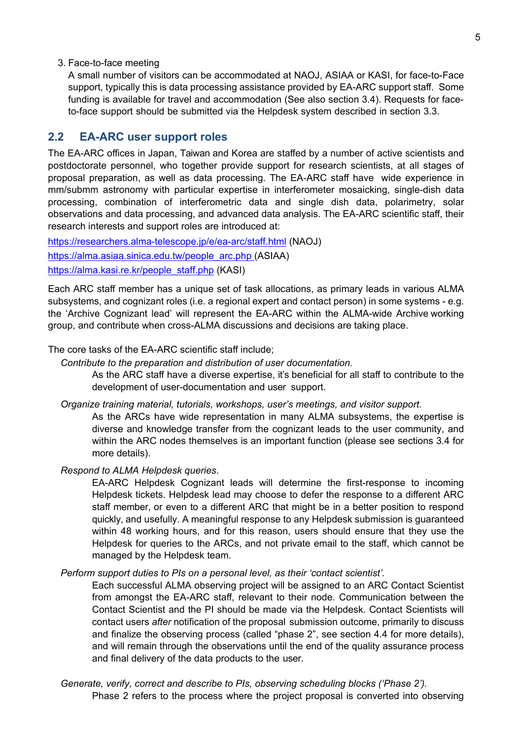3. Face-to-face meeting

A small number of visitors can be accommodated at NAOJ, ASIAA or KASI, for face-to-Face support, typically this is data processing assistance provided by EA-ARC support staff. Some funding is available for travel and accommodation (See also section 3.4). Requests for faceto-face support should be submitted via the Helpdesk system described in section 3.3.

#### <span id="page-5-0"></span>**2.2 EA-ARC user support roles**

The EA-ARC offices in Japan, Taiwan and Korea are staffed by a number of active scientists and postdoctorate personnel, who together provide support for research scientists, at all stages of proposal preparation, as well as data processing. The EA-ARC staff have wide experience in mm/submm astronomy with particular expertise in interferometer mosaicking, single-dish data processing, combination of interferometric data and single dish data, polarimetry, solar observations and data processing, and advanced data analysis. The EA-ARC scientific staff, their research interests and support roles are introduced at:

<https://researchers.alma-telescope.jp/e/ea-arc/staff.html> (NAOJ) [https://alma.asiaa.sinica.edu.tw/people\\_arc.php \(](https://alma.asiaa.sinica.edu.tw/people_arc.php)ASIAA) [https://alma.kasi.re.kr/people\\_staff.php](https://alma.kasi.re.kr/people_staff.php) (KASI)

Each ARC staff member has a unique set of task allocations, as primary leads in various ALMA subsystems, and cognizant roles (i.e. a regional expert and contact person) in some systems - e.g. the 'Archive Cognizant lead' will represent the EA-ARC within the ALMA-wide Archive working group, and contribute when cross-ALMA discussions and decisions are taking place.

The core tasks of the EA-ARC scientific staff include;

*Contribute to the preparation and distribution of user documentation.*

As the ARC staff have a diverse expertise, it's beneficial for all staff to contribute to the development of user-documentation and user support.

*Organize training material, tutorials, workshops, user's meetings, and visitor support.*

As the ARCs have wide representation in many ALMA subsystems, the expertise is diverse and knowledge transfer from the cognizant leads to the user community, and within the ARC nodes themselves is an important function (please see sections 3.4 for more details).

#### *Respond to ALMA Helpdesk queries*.

EA-ARC Helpdesk Cognizant leads will determine the first-response to incoming Helpdesk tickets. Helpdesk lead may choose to defer the response to a different ARC staff member, or even to a different ARC that might be in a better position to respond quickly, and usefully. A meaningful response to any Helpdesk submission is guaranteed within 48 working hours, and for this reason, users should ensure that they use the Helpdesk for queries to the ARCs, and not private email to the staff, which cannot be managed by the Helpdesk team.

#### *Perform support duties to PIs on a personal level, as their 'contact scientist'.*

Each successful ALMA observing project will be assigned to an ARC Contact Scientist from amongst the EA-ARC staff, relevant to their node. Communication between the Contact Scientist and the PI should be made via the Helpdesk. Contact Scientists will contact users *after* notification of the proposal submission outcome, primarily to discuss and finalize the observing process (called "phase 2", see section 4.4 for more details), and will remain through the observations until the end of the quality assurance process and final delivery of the data products to the user.

*Generate, verify, correct and describe to PIs, observing scheduling blocks ('Phase 2').* Phase 2 refers to the process where the project proposal is converted into observing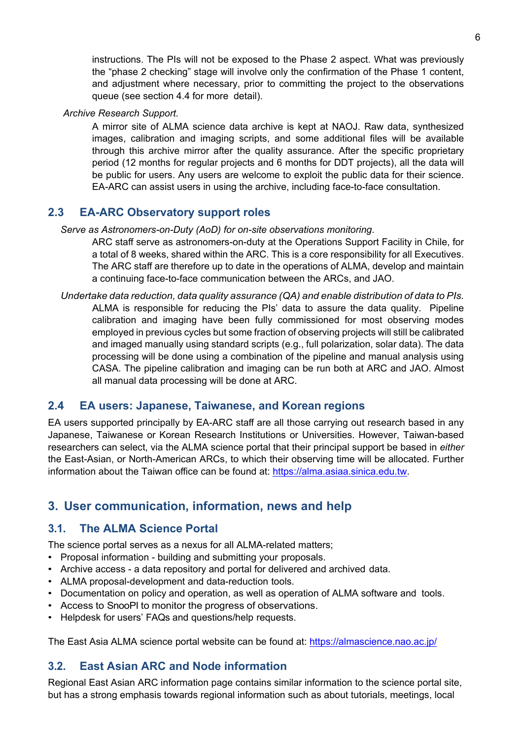instructions. The PIs will not be exposed to the Phase 2 aspect. What was previously the "phase 2 checking" stage will involve only the confirmation of the Phase 1 content, and adjustment where necessary, prior to committing the project to the observations queue (see section 4.4 for more detail).

#### *Archive Research Support.*

A mirror site of ALMA science data archive is kept at NAOJ. Raw data, synthesized images, calibration and imaging scripts, and some additional files will be available through this archive mirror after the quality assurance. After the specific proprietary period (12 months for regular projects and 6 months for DDT projects), all the data will be public for users. Any users are welcome to exploit the public data for their science. EA-ARC can assist users in using the archive, including face-to-face consultation.

## <span id="page-6-0"></span>**2.3 EA-ARC Observatory support roles**

#### *Serve as Astronomers-on-Duty (AoD) for on-site observations monitoring*.

ARC staff serve as astronomers-on-duty at the Operations Support Facility in Chile, for a total of 8 weeks, shared within the ARC. This is a core responsibility for all Executives. The ARC staff are therefore up to date in the operations of ALMA, develop and maintain a continuing face-to-face communication between the ARCs, and JAO.

*Undertake data reduction, data quality assurance (QA) and enable distribution of data to PIs.*  ALMA is responsible for reducing the PIs' data to assure the data quality. Pipeline calibration and imaging have been fully commissioned for most observing modes employed in previous cycles but some fraction of observing projects will still be calibrated and imaged manually using standard scripts (e.g., full polarization, solar data). The data processing will be done using a combination of the pipeline and manual analysis using CASA. The pipeline calibration and imaging can be run both at ARC and JAO. Almost all manual data processing will be done at ARC.

## <span id="page-6-1"></span>**2.4 EA users: Japanese, Taiwanese, and Korean regions**

EA users supported principally by EA-ARC staff are all those carrying out research based in any Japanese, Taiwanese or Korean Research Institutions or Universities. However, Taiwan-based researchers can select, via the ALMA science portal that their principal support be based in *either*  the East-Asian, or North-American ARCs, to which their observing time will be allocated. Further information about the Taiwan office can be found at: [https://alma.asiaa.sinica.edu.tw.](https://alma.asiaa.sinica.edu.tw/)

# <span id="page-6-2"></span>**3. User communication, information, news and help**

## <span id="page-6-3"></span>**3.1. The ALMA Science Portal**

The science portal serves as a nexus for all ALMA-related matters;

- Proposal information building and submitting your proposals.
- Archive access a data repository and portal for delivered and archived data.
- ALMA proposal-development and data-reduction tools.
- Documentation on policy and operation, as well as operation of ALMA software and tools.
- Access to SnooPI to monitor the progress of observations.
- Helpdesk for users' FAQs and questions/help requests.

<span id="page-6-4"></span>The East Asia ALMA science portal website can be found at:<https://almascience.nao.ac.jp/>

## **3.2. East Asian ARC and Node information**

Regional East Asian ARC information page contains similar information to the science portal site, but has a strong emphasis towards regional information such as about tutorials, meetings, local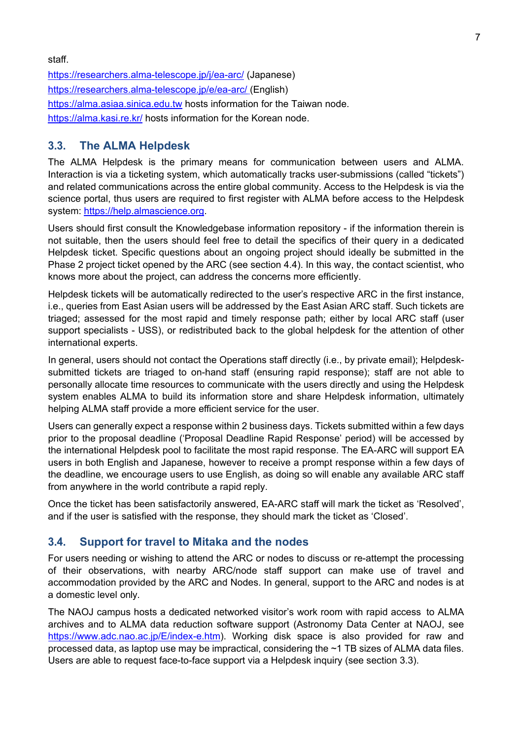<https://researchers.alma-telescope.jp/j/ea-arc/> (Japanese) <https://researchers.alma-telescope.jp/e/ea-arc/> (English) [https://alma.asiaa.sinica.edu.tw](https://alma.asiaa.sinica.edu.tw/) hosts information for the Taiwan node. <https://alma.kasi.re.kr/> hosts information for the Korean node.

#### <span id="page-7-0"></span>**3.3. The ALMA Helpdesk**

The ALMA Helpdesk is the primary means for communication between users and ALMA. Interaction is via a ticketing system, which automatically tracks user-submissions (called "tickets") and related communications across the entire global community. Access to the Helpdesk is via the science portal, thus users are required to first register with ALMA before access to the Helpdesk system: [https://help.almascience.org.](https://help.almascience.org/)

Users should first consult the Knowledgebase information repository - if the information therein is not suitable, then the users should feel free to detail the specifics of their query in a dedicated Helpdesk ticket. Specific questions about an ongoing project should ideally be submitted in the Phase 2 project ticket opened by the ARC (see section 4.4). In this way, the contact scientist, who knows more about the project, can address the concerns more efficiently.

Helpdesk tickets will be automatically redirected to the user's respective ARC in the first instance, i.e., queries from East Asian users will be addressed by the East Asian ARC staff. Such tickets are triaged; assessed for the most rapid and timely response path; either by local ARC staff (user support specialists - USS), or redistributed back to the global helpdesk for the attention of other international experts.

In general, users should not contact the Operations staff directly (i.e., by private email); Helpdesksubmitted tickets are triaged to on-hand staff (ensuring rapid response); staff are not able to personally allocate time resources to communicate with the users directly and using the Helpdesk system enables ALMA to build its information store and share Helpdesk information, ultimately helping ALMA staff provide a more efficient service for the user.

Users can generally expect a response within 2 business days. Tickets submitted within a few days prior to the proposal deadline ('Proposal Deadline Rapid Response' period) will be accessed by the international Helpdesk pool to facilitate the most rapid response. The EA-ARC will support EA users in both English and Japanese, however to receive a prompt response within a few days of the deadline, we encourage users to use English, as doing so will enable any available ARC staff from anywhere in the world contribute a rapid reply.

Once the ticket has been satisfactorily answered, EA-ARC staff will mark the ticket as 'Resolved', and if the user is satisfied with the response, they should mark the ticket as 'Closed'.

#### <span id="page-7-1"></span>**3.4. Support for travel to Mitaka and the nodes**

For users needing or wishing to attend the ARC or nodes to discuss or re-attempt the processing of their observations, with nearby ARC/node staff support can make use of travel and accommodation provided by the ARC and Nodes. In general, support to the ARC and nodes is at a domestic level only.

The NAOJ campus hosts a dedicated networked visitor's work room with rapid access to ALMA archives and to ALMA data reduction software support (Astronomy Data Center at NAOJ, see [https://www.adc.nao.ac.jp/E/index-e.htm\)](https://www.adc.nao.ac.jp/E/index-e.htm). Working disk space is also provided for raw and processed data, as laptop use may be impractical, considering the ~1 TB sizes of ALMA data files. Users are able to request face-to-face support via a Helpdesk inquiry (see section 3.3).

staff.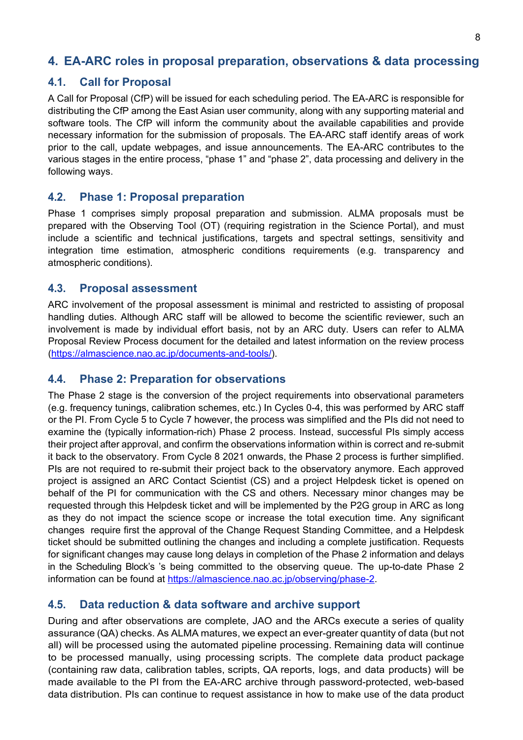# <span id="page-8-0"></span>**4. EA-ARC roles in proposal preparation, observations & data processing**

## <span id="page-8-1"></span>**4.1. Call for Proposal**

A Call for Proposal (CfP) will be issued for each scheduling period. The EA-ARC is responsible for distributing the CfP among the East Asian user community, along with any supporting material and software tools. The CfP will inform the community about the available capabilities and provide necessary information for the submission of proposals. The EA-ARC staff identify areas of work prior to the call, update webpages, and issue announcements. The EA-ARC contributes to the various stages in the entire process, "phase 1" and "phase 2", data processing and delivery in the following ways.

#### <span id="page-8-2"></span>**4.2. Phase 1: Proposal preparation**

Phase 1 comprises simply proposal preparation and submission. ALMA proposals must be prepared with the Observing Tool (OT) (requiring registration in the Science Portal), and must include a scientific and technical justifications, targets and spectral settings, sensitivity and integration time estimation, atmospheric conditions requirements (e.g. transparency and atmospheric conditions).

#### <span id="page-8-3"></span>**4.3. Proposal assessment**

ARC involvement of the proposal assessment is minimal and restricted to assisting of proposal handling duties. Although ARC staff will be allowed to become the scientific reviewer, such an involvement is made by individual effort basis, not by an ARC duty. Users can refer to ALMA Proposal Review Process document for the detailed and latest information on the review process [\(https://almascience.nao.ac.jp/documents-and-tools/\)](https://almascience.nao.ac.jp/documents-and-tools/).

#### <span id="page-8-4"></span>**4.4. Phase 2: Preparation for observations**

The Phase 2 stage is the conversion of the project requirements into observational parameters (e.g. frequency tunings, calibration schemes, etc.) In Cycles 0-4, this was performed by ARC staff or the PI. From Cycle 5 to Cycle 7 however, the process was simplified and the PIs did not need to examine the (typically information-rich) Phase 2 process. Instead, successful PIs simply access their project after approval, and confirm the observations information within is correct and re-submit it back to the observatory. From Cycle 8 2021 onwards, the Phase 2 process is further simplified. PIs are not required to re-submit their project back to the observatory anymore. Each approved project is assigned an ARC Contact Scientist (CS) and a project Helpdesk ticket is opened on behalf of the PI for communication with the CS and others. Necessary minor changes may be requested through this Helpdesk ticket and will be implemented by the P2G group in ARC as long as they do not impact the science scope or increase the total execution time. Any significant changes require first the approval of the Change Request Standing Committee, and a Helpdesk ticket should be submitted outlining the changes and including a complete justification. Requests for significant changes may cause long delays in completion of the Phase 2 information and delays in the Scheduling Block's 's being committed to the observing queue. The up-to-date Phase 2 information can be found at [https://almascience.nao.ac.jp/observing/phase-2.](https://almascience.nao.ac.jp/observing/phase-2)

#### <span id="page-8-5"></span>**4.5. Data reduction & data software and archive support**

During and after observations are complete, JAO and the ARCs execute a series of quality assurance (QA) checks. As ALMA matures, we expect an ever-greater quantity of data (but not all) will be processed using the automated pipeline processing. Remaining data will continue to be processed manually, using processing scripts. The complete data product package (containing raw data, calibration tables, scripts, QA reports, logs, and data products) will be made available to the PI from the EA-ARC archive through password-protected, web-based data distribution. PIs can continue to request assistance in how to make use of the data product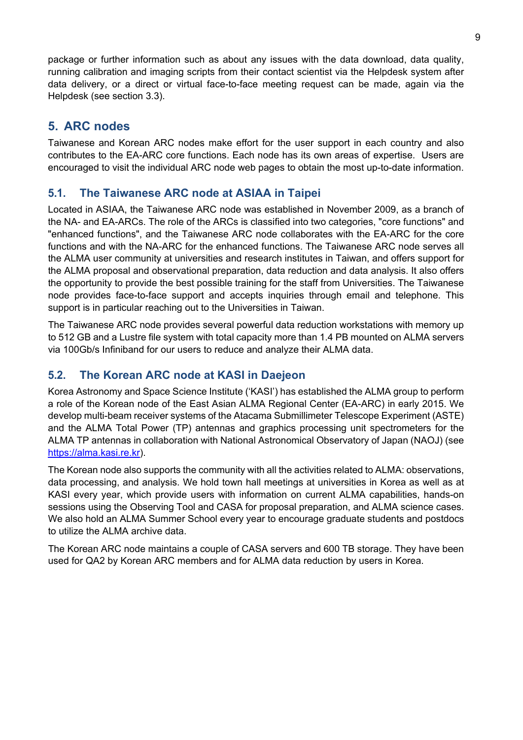package or further information such as about any issues with the data download, data quality, running calibration and imaging scripts from their contact scientist via the Helpdesk system after data delivery, or a direct or virtual face-to-face meeting request can be made, again via the Helpdesk (see section 3.3).

# <span id="page-9-0"></span>**5. ARC nodes**

Taiwanese and Korean ARC nodes make effort for the user support in each country and also contributes to the EA-ARC core functions. Each node has its own areas of expertise. Users are encouraged to visit the individual ARC node web pages to obtain the most up-to-date information.

# <span id="page-9-1"></span>**5.1. The Taiwanese ARC node at ASIAA in Taipei**

Located in ASIAA, the Taiwanese ARC node was established in November 2009, as a branch of the NA- and EA-ARCs. The role of the ARCs is classified into two categories, "core functions" and "enhanced functions", and the Taiwanese ARC node collaborates with the EA-ARC for the core functions and with the NA-ARC for the enhanced functions. The Taiwanese ARC node serves all the ALMA user community at universities and research institutes in Taiwan, and offers support for the ALMA proposal and observational preparation, data reduction and data analysis. It also offers the opportunity to provide the best possible training for the staff from Universities. The Taiwanese node provides face-to-face support and accepts inquiries through email and telephone. This support is in particular reaching out to the Universities in Taiwan.

The Taiwanese ARC node provides several powerful data reduction workstations with memory up to 512 GB and a Lustre file system with total capacity more than 1.4 PB mounted on ALMA servers via 100Gb/s Infiniband for our users to reduce and analyze their ALMA data.

## <span id="page-9-2"></span>**5.2. The Korean ARC node at KASI in Daejeon**

Korea Astronomy and Space Science Institute ('KASI') has established the ALMA group to perform a role of the Korean node of the East Asian ALMA Regional Center (EA-ARC) in early 2015. We develop multi-beam receiver systems of the Atacama Submillimeter Telescope Experiment (ASTE) and the ALMA Total Power (TP) antennas and graphics processing unit spectrometers for the ALMA TP antennas in collaboration with National Astronomical Observatory of Japan (NAOJ) (see [https://alma.kasi.re.kr\)](https://alma.kasi.re.kr/).

The Korean node also supports the community with all the activities related to ALMA: observations, data processing, and analysis. We hold town hall meetings at universities in Korea as well as at KASI every year, which provide users with information on current ALMA capabilities, hands-on sessions using the Observing Tool and CASA for proposal preparation, and ALMA science cases. We also hold an ALMA Summer School every year to encourage graduate students and postdocs to utilize the ALMA archive data.

The Korean ARC node maintains a couple of CASA servers and 600 TB storage. They have been used for QA2 by Korean ARC members and for ALMA data reduction by users in Korea.